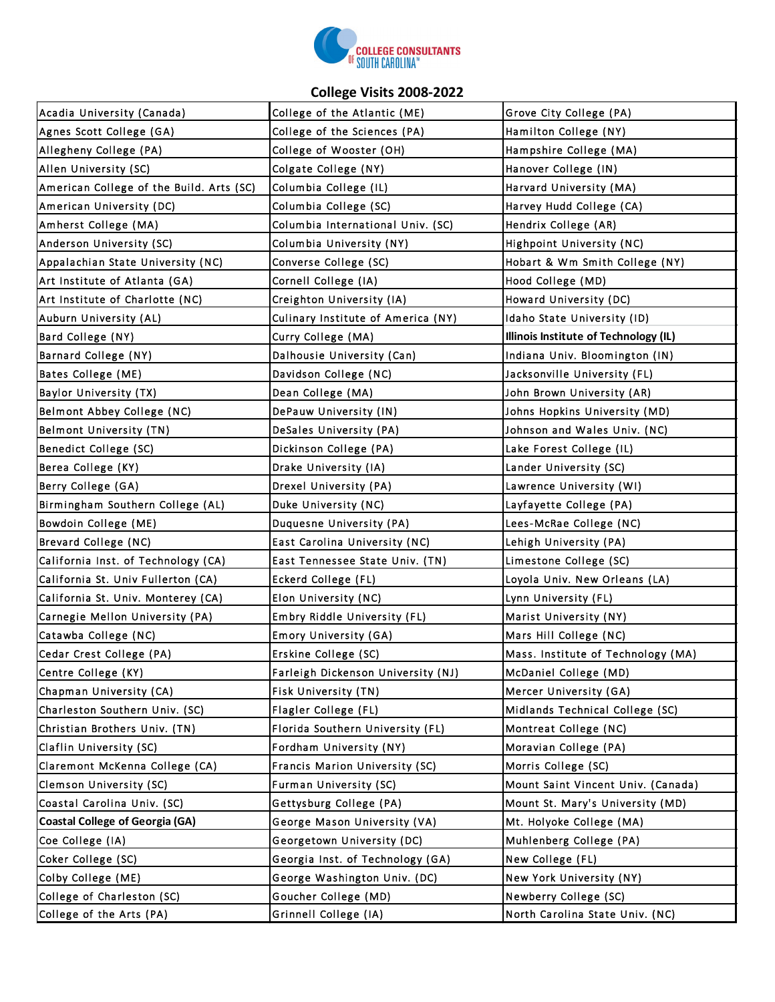

## **College Visits 2008-2022**

| Acadia University (Canada)               | College of the Atlantic (ME)       | Grove City College (PA)               |
|------------------------------------------|------------------------------------|---------------------------------------|
| Agnes Scott College (GA)                 | College of the Sciences (PA)       | Hamilton College (NY)                 |
| Allegheny College (PA)                   | College of Wooster (OH)            | Hampshire College (MA)                |
| Allen University (SC)                    | Colgate College (NY)               | Hanover College (IN)                  |
| American College of the Build. Arts (SC) | Columbia College (IL)              | Harvard University (MA)               |
| American University (DC)                 | Columbia College (SC)              | Harvey Hudd College (CA)              |
| Amherst College (MA)                     | Columbia International Univ. (SC)  | Hendrix College (AR)                  |
| Anderson University (SC)                 | Columbia University (NY)           | Highpoint University (NC)             |
| Appalachian State University (NC)        | Converse College (SC)              | Hobart & Wm Smith College (NY)        |
| Art Institute of Atlanta (GA)            | Cornell College (IA)               | Hood College (MD)                     |
| Art Institute of Charlotte (NC)          | Creighton University (IA)          | Howard University (DC)                |
| Auburn University (AL)                   | Culinary Institute of America (NY) | Idaho State University (ID)           |
| Bard College (NY)                        | Curry College (MA)                 | Illinois Institute of Technology (IL) |
| Barnard College (NY)                     | Dalhousie University (Can)         | Indiana Univ. Bloomington (IN)        |
| Bates College (ME)                       | Davidson College (NC)              | Jacksonville University (FL)          |
| <b>Baylor University (TX)</b>            | Dean College (MA)                  | John Brown University (AR)            |
| Belmont Abbey College (NC)               | DePauw University (IN)             | Johns Hopkins University (MD)         |
| Belmont University (TN)                  | DeSales University (PA)            | Johnson and Wales Univ. (NC)          |
| Benedict College (SC)                    | Dickinson College (PA)             | Lake Forest College (IL)              |
| Berea College (KY)                       | Drake University (IA)              | Lander University (SC)                |
| Berry College (GA)                       | Drexel University (PA)             | Lawrence University (WI)              |
| Birmingham Southern College (AL)         | Duke University (NC)               | Layfayette College (PA)               |
| Bowdoin College (ME)                     | Duquesne University (PA)           | Lees-McRae College (NC)               |
| Brevard College (NC)                     | East Carolina University (NC)      | Lehigh University (PA)                |
| California Inst. of Technology (CA)      | East Tennessee State Univ. (TN)    | Limestone College (SC)                |
| California St. Univ Fullerton (CA)       | Eckerd College (FL)                | Loyola Univ. New Orleans (LA)         |
| California St. Univ. Monterey (CA)       | Elon University (NC)               | Lynn University (FL)                  |
| Carnegie Mellon University (PA)          | Embry Riddle University (FL)       | Marist University (NY)                |
| Catawba College (NC)                     | Emory University (GA)              | Mars Hill College (NC)                |
| Cedar Crest College (PA)                 | Erskine College (SC)               | Mass. Institute of Technology (MA)    |
| Centre College (KY)                      | Farleigh Dickenson University (NJ) | McDaniel College (MD)                 |
| Chapman University (CA)                  | Fisk University (TN)               | Mercer University (GA)                |
| Charleston Southern Univ. (SC)           | Flagler College (FL)               | Midlands Technical College (SC)       |
| Christian Brothers Univ. (TN)            | Florida Southern University (FL)   | Montreat College (NC)                 |
| Claflin University (SC)                  | Fordham University (NY)            | Moravian College (PA)                 |
| Claremont McKenna College (CA)           | Francis Marion University (SC)     | Morris College (SC)                   |
| <b>Clemson University (SC)</b>           | Furman University (SC)             | Mount Saint Vincent Univ. (Canada)    |
| Coastal Carolina Univ. (SC)              | Gettysburg College (PA)            | Mount St. Mary's University (MD)      |
| <b>Coastal College of Georgia (GA)</b>   | George Mason University (VA)       | Mt. Holyoke College (MA)              |
| Coe College (IA)                         | Georgetown University (DC)         | Muhlenberg College (PA)               |
| Coker College (SC)                       | Georgia Inst. of Technology (GA)   | New College (FL)                      |
| Colby College (ME)                       | George Washington Univ. (DC)       | New York University (NY)              |
| College of Charleston (SC)               | Goucher College (MD)               | Newberry College (SC)                 |
| College of the Arts (PA)                 | Grinnell College (IA)              | North Carolina State Univ. (NC)       |